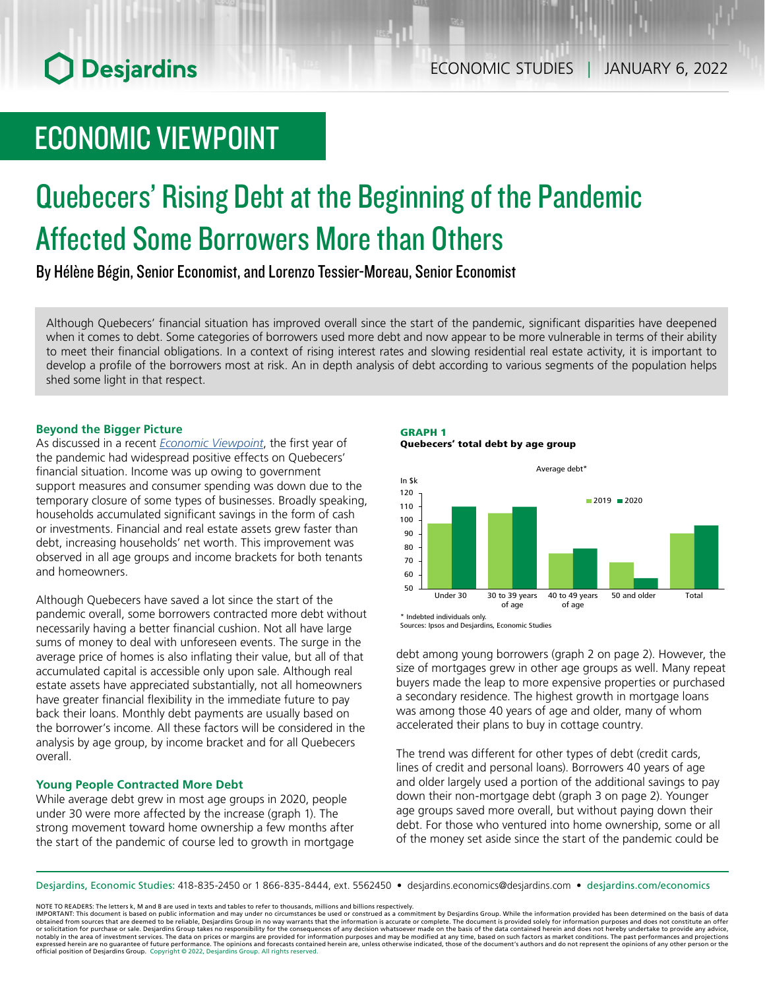# ECONOMIC VIEWPOINT

# Quebecers' Rising Debt at the Beginning of the Pandemic Affected Some Borrowers More than Others

By Hélène Bégin, Senior Economist, and Lorenzo Tessier-Moreau, Senior Economist

Although Quebecers' financial situation has improved overall since the start of the pandemic, significant disparities have deepened when it comes to debt. Some categories of borrowers used more debt and now appear to be more vulnerable in terms of their ability to meet their financial obligations. In a context of rising interest rates and slowing residential real estate activity, it is important to develop a profile of the borrowers most at risk. An in depth analysis of debt according to various segments of the population helps shed some light in that respect.

# **Beyond the Bigger Picture**

As discussed in a recent *[Economic Viewpoint](https://www.desjardins.com/ressources/pdf/pv211202-e.pdf?resVer=1638454993000)*, the first year of the pandemic had widespread positive effects on Quebecers' financial situation. Income was up owing to government support measures and consumer spending was down due to the temporary closure of some types of businesses. Broadly speaking, households accumulated significant savings in the form of cash or investments. Financial and real estate assets grew faster than debt, increasing households' net worth. This improvement was observed in all age groups and income brackets for both tenants and homeowners.

Although Quebecers have saved a lot since the start of the pandemic overall, some borrowers contracted more debt without necessarily having a better financial cushion. Not all have large sums of money to deal with unforeseen events. The surge in the average price of homes is also inflating their value, but all of that accumulated capital is accessible only upon sale. Although real estate assets have appreciated substantially, not all homeowners have greater financial flexibility in the immediate future to pay back their loans. Monthly debt payments are usually based on the borrower's income. All these factors will be considered in the analysis by age group, by income bracket and for all Quebecers overall.

# **Young People Contracted More Debt**

While average debt grew in most age groups in 2020, people under 30 were more affected by the increase (graph 1). The strong movement toward home ownership a few months after the start of the pandemic of course led to growth in mortgage

#### GRAPH 1 Quebecers' total debt by age group



<sup>\*</sup> Indebted individuals only. Sources: Ipsos and Desjardins, Economic Studies

debt among young borrowers (graph 2 on page 2). However, the size of mortgages grew in other age groups as well. Many repeat buyers made the leap to more expensive properties or purchased a secondary residence. The highest growth in mortgage loans was among those 40 years of age and older, many of whom accelerated their plans to buy in cottage country.

The trend was different for other types of debt (credit cards, lines of credit and personal loans). Borrowers 40 years of age and older largely used a portion of the additional savings to pay down their non-mortgage debt (graph 3 on page 2). Younger age groups saved more overall, but without paying down their debt. For those who ventured into home ownership, some or all of the money set aside since the start of the pandemic could be

Desjardins, Economic Studies: 418-835-2450 or 1 866-835-8444, ext. 5562450 • desjardins.economics@desjardins.com • [desjardins.com/economics](http://desjardins.com/economics)

NOTE TO READERS: The letters k, M and B are used in texts and tables to refer to thousands, millions and billions respectively.

IMPORTANT: This document is based on public information and may under no circumstances be used or construed as a commitment by Desjardins Group. While the information provided has been determined on the basis of data obtai expressed herein are no guarantee of future performance. The opinions and forecasts contained herein are, unless otherwise indicated, those of the document's authors and do not represent the opinions of any other person or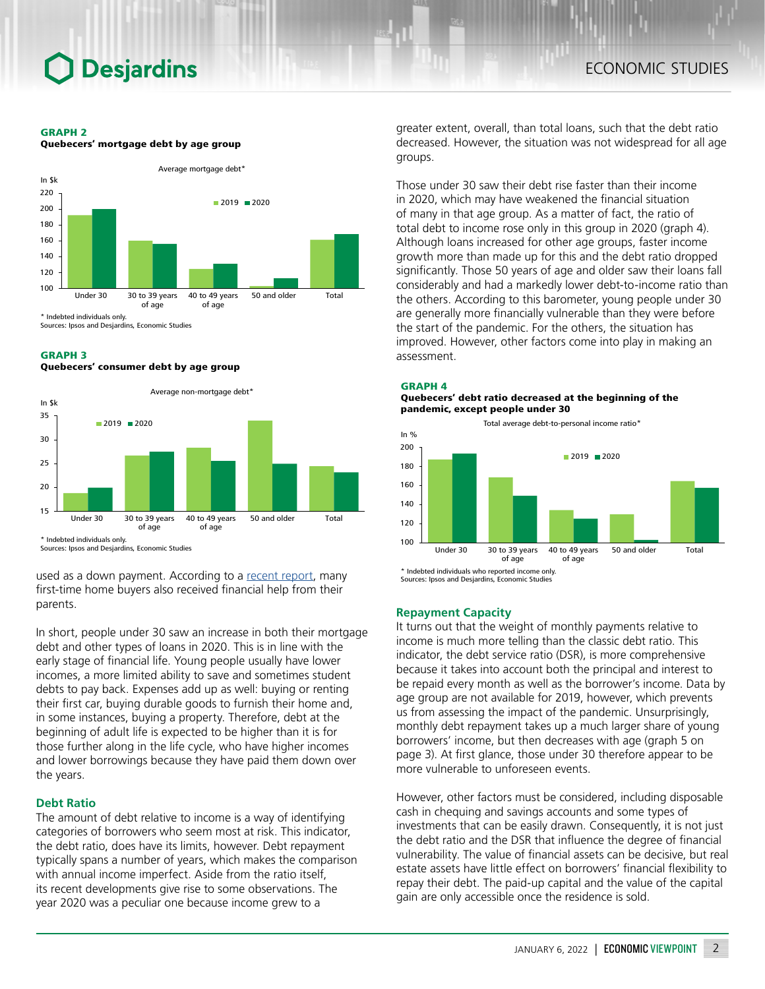## GRAPH 2





Sources: Ipsos and Desjardins, Economic Studies

# GRAPH 3

### Quebecers' consumer debt by age group



used as a down payment. According to a [recent report](https://economics.cibccm.com/cds?id=9dc124d8-9764-4c1d-83b4-9e89a5d568b8&flag=E), many first-time home buyers also received financial help from their parents.

In short, people under 30 saw an increase in both their mortgage debt and other types of loans in 2020. This is in line with the early stage of financial life. Young people usually have lower incomes, a more limited ability to save and sometimes student debts to pay back. Expenses add up as well: buying or renting their first car, buying durable goods to furnish their home and, in some instances, buying a property. Therefore, debt at the beginning of adult life is expected to be higher than it is for those further along in the life cycle, who have higher incomes and lower borrowings because they have paid them down over the years.

# **Debt Ratio**

The amount of debt relative to income is a way of identifying categories of borrowers who seem most at risk. This indicator, the debt ratio, does have its limits, however. Debt repayment typically spans a number of years, which makes the comparison with annual income imperfect. Aside from the ratio itself, its recent developments give rise to some observations. The year 2020 was a peculiar one because income grew to a

greater extent, overall, than total loans, such that the debt ratio decreased. However, the situation was not widespread for all age groups.

Those under 30 saw their debt rise faster than their income in 2020, which may have weakened the financial situation of many in that age group. As a matter of fact, the ratio of total debt to income rose only in this group in 2020 (graph 4). Although loans increased for other age groups, faster income growth more than made up for this and the debt ratio dropped significantly. Those 50 years of age and older saw their loans fall considerably and had a markedly lower debt-to-income ratio than the others. According to this barometer, young people under 30 are generally more financially vulnerable than they were before the start of the pandemic. For the others, the situation has improved. However, other factors come into play in making an assessment.

## GRAPH 4

#### Quebecers' debt ratio decreased at the beginning of the pandemic, except people under 30





Sources: Ipsos and Desjardins, Economic Stud

### **Repayment Capacity**

It turns out that the weight of monthly payments relative to income is much more telling than the classic debt ratio. This indicator, the debt service ratio (DSR), is more comprehensive because it takes into account both the principal and interest to be repaid every month as well as the borrower's income. Data by age group are not available for 2019, however, which prevents us from assessing the impact of the pandemic. Unsurprisingly, monthly debt repayment takes up a much larger share of young borrowers' income, but then decreases with age (graph 5 on page 3). At first glance, those under 30 therefore appear to be more vulnerable to unforeseen events.

However, other factors must be considered, including disposable cash in chequing and savings accounts and some types of investments that can be easily drawn. Consequently, it is not just the debt ratio and the DSR that influence the degree of financial vulnerability. The value of financial assets can be decisive, but real estate assets have little effect on borrowers' financial flexibility to repay their debt. The paid-up capital and the value of the capital gain are only accessible once the residence is sold.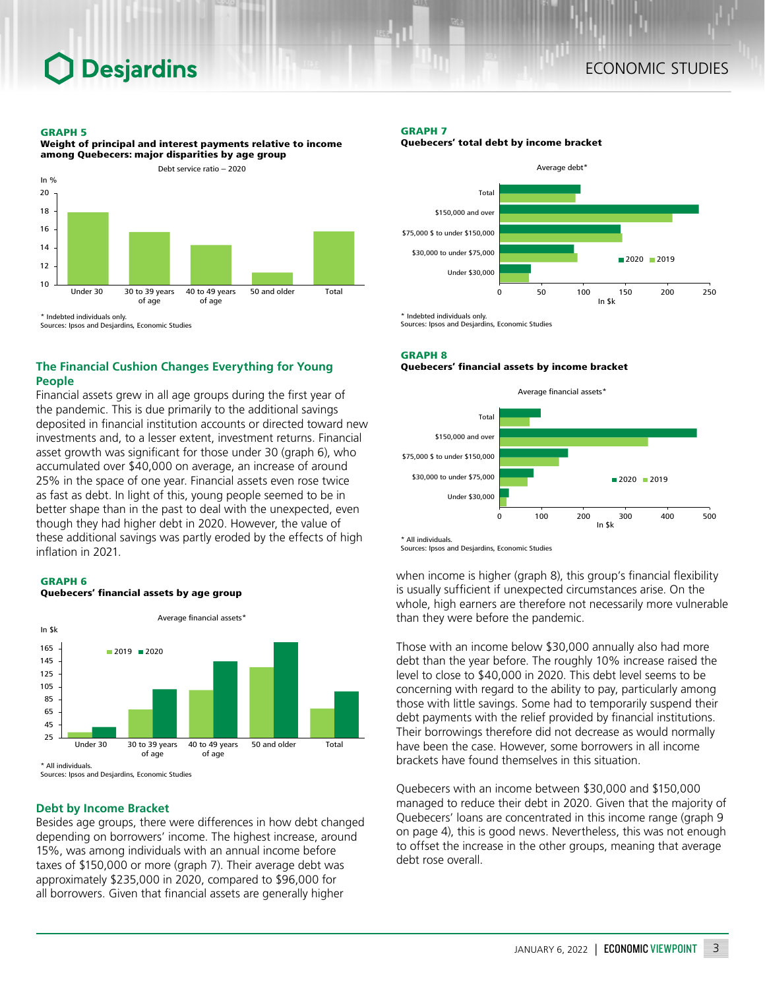## GRAPH 5

Weight of principal and interest payments relative to income among Quebecers: major disparities by age group



**The Financial Cushion Changes Everything for Young People**

Financial assets grew in all age groups during the first year of the pandemic. This is due primarily to the additional savings deposited in financial institution accounts or directed toward new investments and, to a lesser extent, investment returns. Financial asset growth was significant for those under 30 (graph 6), who accumulated over \$40,000 on average, an increase of around 25% in the space of one year. Financial assets even rose twice as fast as debt. In light of this, young people seemed to be in better shape than in the past to deal with the unexpected, even though they had higher debt in 2020. However, the value of these additional savings was partly eroded by the effects of high inflation in 2021.





# **Debt by Income Bracket**

Besides age groups, there were differences in how debt changed depending on borrowers' income. The highest increase, around 15%, was among individuals with an annual income before taxes of \$150,000 or more (graph 7). Their average debt was approximately \$235,000 in 2020, compared to \$96,000 for all borrowers. Given that financial assets are generally higher

# GRAPH 7

Quebecers' total debt by income bracket



Sources: Ipsos and Desjardins, Economic Studies

### GRAPH 8

### Quebecers' financial assets by income bracket



Sources: Ipsos and Desjardins, Economic Studies

when income is higher (graph 8), this group's financial flexibility is usually sufficient if unexpected circumstances arise. On the whole, high earners are therefore not necessarily more vulnerable than they were before the pandemic.

Those with an income below \$30,000 annually also had more debt than the year before. The roughly 10% increase raised the level to close to \$40,000 in 2020. This debt level seems to be concerning with regard to the ability to pay, particularly among those with little savings. Some had to temporarily suspend their debt payments with the relief provided by financial institutions. Their borrowings therefore did not decrease as would normally have been the case. However, some borrowers in all income brackets have found themselves in this situation.

Quebecers with an income between \$30,000 and \$150,000 managed to reduce their debt in 2020. Given that the majority of Quebecers' loans are concentrated in this income range (graph 9 on page 4), this is good news. Nevertheless, this was not enough to offset the increase in the other groups, meaning that average debt rose overall.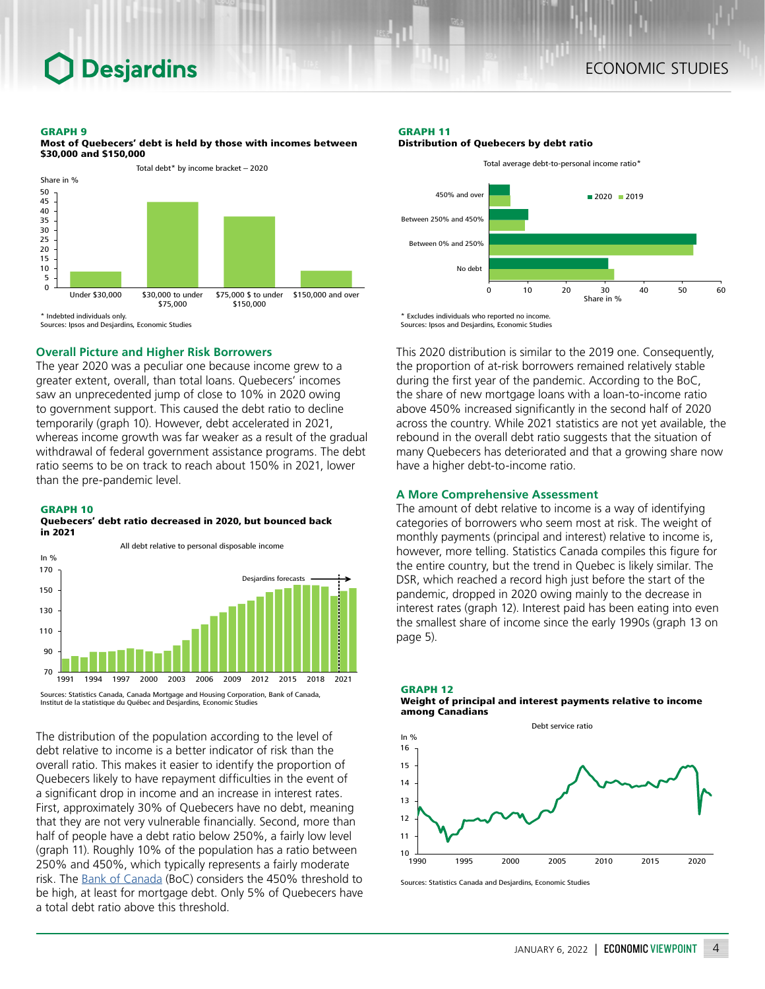# GRAPH 9



Most of Quebecers' debt is held by those with incomes between \$30,000 and \$150,000



The year 2020 was a peculiar one because income grew to a greater extent, overall, than total loans. Quebecers' incomes saw an unprecedented jump of close to 10% in 2020 owing to government support. This caused the debt ratio to decline temporarily (graph 10). However, debt accelerated in 2021, whereas income growth was far weaker as a result of the gradual withdrawal of federal government assistance programs. The debt ratio seems to be on track to reach about 150% in 2021, lower than the pre-pandemic level.

# GRAPH 10

### Quebecers' debt ratio decreased in 2020, but bounced back in 2021



The distribution of the population according to the level of

debt relative to income is a better indicator of risk than the overall ratio. This makes it easier to identify the proportion of Quebecers likely to have repayment difficulties in the event of a significant drop in income and an increase in interest rates. First, approximately 30% of Quebecers have no debt, meaning that they are not very vulnerable financially. Second, more than half of people have a debt ratio below 250%, a fairly low level (graph 11). Roughly 10% of the population has a ratio between 250% and 450%, which typically represents a fairly moderate risk. The [Bank of Canada](https://www.bankofcanada.ca/2021/05/financial-system-review-2021/?_ga=2.123038539.174694561.1639660982-1064457781.1609960470) (BoC) considers the 450% threshold to be high, at least for mortgage debt. Only 5% of Quebecers have a total debt ratio above this threshold.

# GRAPH 11





\* Excludes individuals who reported no income. Sources: Ipsos and Desjardins, Economic Studies

This 2020 distribution is similar to the 2019 one. Consequently, the proportion of at-risk borrowers remained relatively stable during the first year of the pandemic. According to the BoC, the share of new mortgage loans with a loan-to-income ratio above 450% increased significantly in the second half of 2020 across the country. While 2021 statistics are not yet available, the rebound in the overall debt ratio suggests that the situation of many Quebecers has deteriorated and that a growing share now have a higher debt-to-income ratio.

# **A More Comprehensive Assessment**

The amount of debt relative to income is a way of identifying categories of borrowers who seem most at risk. The weight of monthly payments (principal and interest) relative to income is, however, more telling. Statistics Canada compiles this figure for the entire country, but the trend in Quebec is likely similar. The DSR, which reached a record high just before the start of the pandemic, dropped in 2020 owing mainly to the decrease in interest rates (graph 12). Interest paid has been eating into even the smallest share of income since the early 1990s (graph 13 on page 5).





Sources: Statistics Canada and Desjardins, Economic Studies